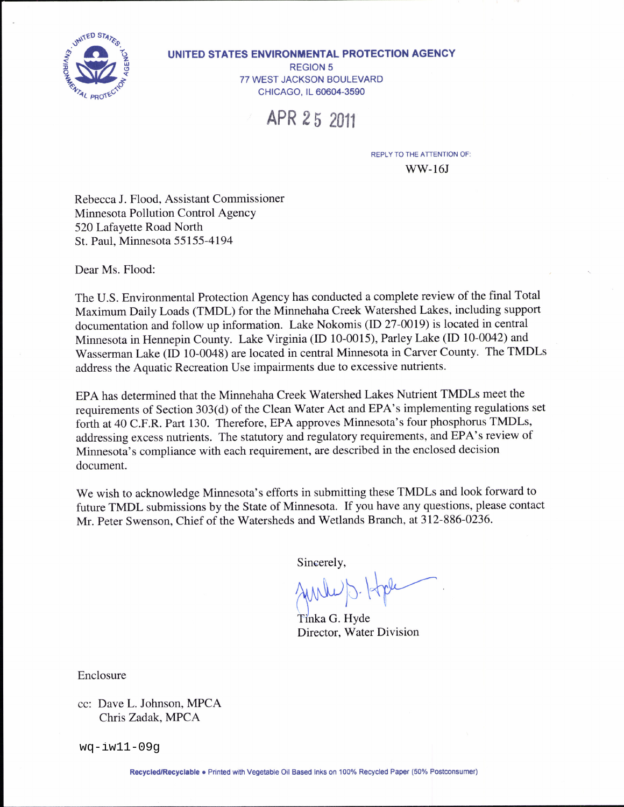

#### UNITED STATES ENVIRONMENTAL PROTECTION AGENCY

**REGION 5** 77 WEST JACKSON BOULEVARD CHICAGO, IL 60604-3590

# APR 25 2011

**REPLY TO THE ATTENTION OF:** 

 $WW-16J$ 

Rebecca J. Flood, Assistant Commissioner Minnesota Pollution Control Agency 520 Lafayette Road North St. Paul, Minnesota 55155-4194

Dear Ms. Flood:

The U.S. Environmental Protection Agency has conducted a complete review of the final Total Maximum Daily Loads (TMDL) for the Minnehaha Creek Watershed Lakes, including support documentation and follow up information. Lake Nokomis (ID 27-0019) is located in central Minnesota in Hennepin County. Lake Virginia (ID 10-0015), Parley Lake (ID 10-0042) and Wasserman Lake (ID 10-0048) are located in central Minnesota in Carver County. The TMDLs address the Aquatic Recreation Use impairments due to excessive nutrients.

EPA has determined that the Minnehaha Creek Watershed Lakes Nutrient TMDLs meet the requirements of Section 303(d) of the Clean Water Act and EPA's implementing regulations set forth at 40 C.F.R. Part 130. Therefore, EPA approves Minnesota's four phosphorus TMDLs, addressing excess nutrients. The statutory and regulatory requirements, and EPA's review of Minnesota's compliance with each requirement, are described in the enclosed decision document.

We wish to acknowledge Minnesota's efforts in submitting these TMDLs and look forward to future TMDL submissions by the State of Minnesota. If you have any questions, please contact Mr. Peter Swenson, Chief of the Watersheds and Wetlands Branch, at 312-886-0236.

Sincerely,

Tinka G. Hyde Director, Water Division

Enclosure

cc: Dave L. Johnson, MPCA Chris Zadak, MPCA

 $wq-iw11-09q$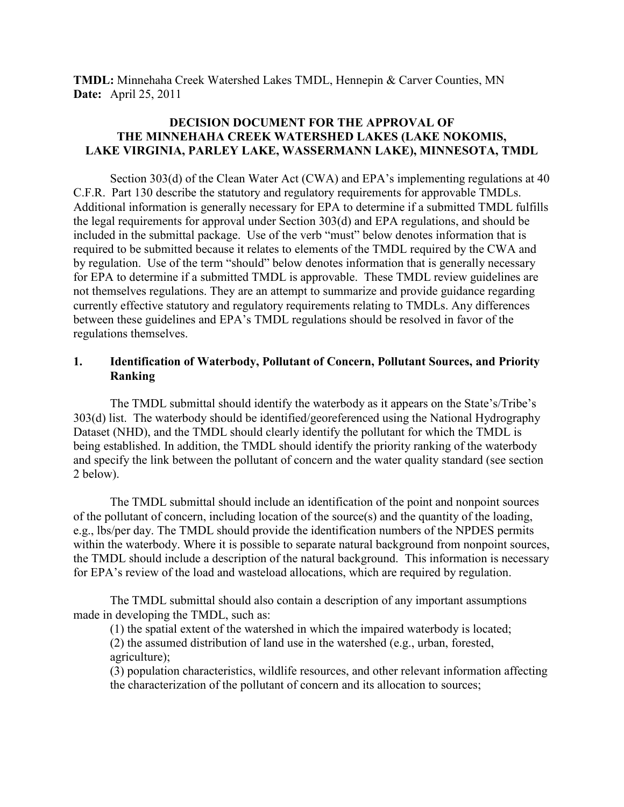**TMDL:** Minnehaha Creek Watershed Lakes TMDL, Hennepin & Carver Counties, MN **Date:** April 25, 2011

## **DECISION DOCUMENT FOR THE APPROVAL OF THE MINNEHAHA CREEK WATERSHED LAKES (LAKE NOKOMIS, LAKE VIRGINIA, PARLEY LAKE, WASSERMANN LAKE), MINNESOTA, TMDL**

 Section 303(d) of the Clean Water Act (CWA) and EPA's implementing regulations at 40 C.F.R. Part 130 describe the statutory and regulatory requirements for approvable TMDLs. Additional information is generally necessary for EPA to determine if a submitted TMDL fulfills the legal requirements for approval under Section 303(d) and EPA regulations, and should be included in the submittal package. Use of the verb "must" below denotes information that is required to be submitted because it relates to elements of the TMDL required by the CWA and by regulation. Use of the term "should" below denotes information that is generally necessary for EPA to determine if a submitted TMDL is approvable. These TMDL review guidelines are not themselves regulations. They are an attempt to summarize and provide guidance regarding currently effective statutory and regulatory requirements relating to TMDLs. Any differences between these guidelines and EPA's TMDL regulations should be resolved in favor of the regulations themselves.

## **1. Identification of Waterbody, Pollutant of Concern, Pollutant Sources, and Priority Ranking**

 The TMDL submittal should identify the waterbody as it appears on the State's/Tribe's 303(d) list. The waterbody should be identified/georeferenced using the National Hydrography Dataset (NHD), and the TMDL should clearly identify the pollutant for which the TMDL is being established. In addition, the TMDL should identify the priority ranking of the waterbody and specify the link between the pollutant of concern and the water quality standard (see section 2 below).

 The TMDL submittal should include an identification of the point and nonpoint sources of the pollutant of concern, including location of the source(s) and the quantity of the loading, e.g., lbs/per day. The TMDL should provide the identification numbers of the NPDES permits within the waterbody. Where it is possible to separate natural background from nonpoint sources, the TMDL should include a description of the natural background. This information is necessary for EPA's review of the load and wasteload allocations, which are required by regulation.

 The TMDL submittal should also contain a description of any important assumptions made in developing the TMDL, such as:

(1) the spatial extent of the watershed in which the impaired waterbody is located;

 (2) the assumed distribution of land use in the watershed (e.g., urban, forested, agriculture);

(3) population characteristics, wildlife resources, and other relevant information affecting the characterization of the pollutant of concern and its allocation to sources;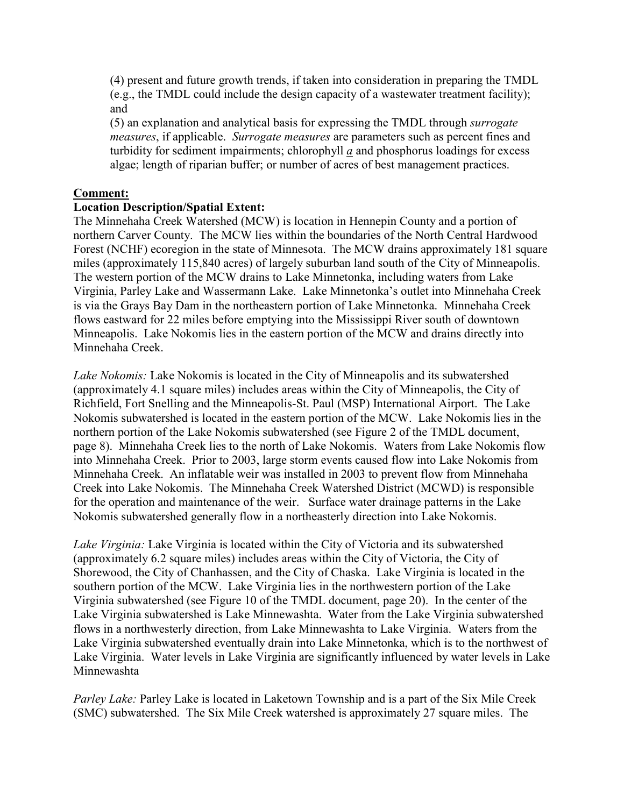(4) present and future growth trends, if taken into consideration in preparing the TMDL (e.g., the TMDL could include the design capacity of a wastewater treatment facility); and

(5) an explanation and analytical basis for expressing the TMDL through *surrogate measures*, if applicable. *Surrogate measures* are parameters such as percent fines and turbidity for sediment impairments; chlorophyll *a* and phosphorus loadings for excess algae; length of riparian buffer; or number of acres of best management practices.

## **Comment:**

## **Location Description/Spatial Extent:**

The Minnehaha Creek Watershed (MCW) is location in Hennepin County and a portion of northern Carver County. The MCW lies within the boundaries of the North Central Hardwood Forest (NCHF) ecoregion in the state of Minnesota. The MCW drains approximately 181 square miles (approximately 115,840 acres) of largely suburban land south of the City of Minneapolis. The western portion of the MCW drains to Lake Minnetonka, including waters from Lake Virginia, Parley Lake and Wassermann Lake. Lake Minnetonka's outlet into Minnehaha Creek is via the Grays Bay Dam in the northeastern portion of Lake Minnetonka. Minnehaha Creek flows eastward for 22 miles before emptying into the Mississippi River south of downtown Minneapolis. Lake Nokomis lies in the eastern portion of the MCW and drains directly into Minnehaha Creek.

*Lake Nokomis:* Lake Nokomis is located in the City of Minneapolis and its subwatershed (approximately 4.1 square miles) includes areas within the City of Minneapolis, the City of Richfield, Fort Snelling and the Minneapolis-St. Paul (MSP) International Airport. The Lake Nokomis subwatershed is located in the eastern portion of the MCW. Lake Nokomis lies in the northern portion of the Lake Nokomis subwatershed (see Figure 2 of the TMDL document, page 8). Minnehaha Creek lies to the north of Lake Nokomis. Waters from Lake Nokomis flow into Minnehaha Creek. Prior to 2003, large storm events caused flow into Lake Nokomis from Minnehaha Creek. An inflatable weir was installed in 2003 to prevent flow from Minnehaha Creek into Lake Nokomis. The Minnehaha Creek Watershed District (MCWD) is responsible for the operation and maintenance of the weir. Surface water drainage patterns in the Lake Nokomis subwatershed generally flow in a northeasterly direction into Lake Nokomis.

*Lake Virginia:* Lake Virginia is located within the City of Victoria and its subwatershed (approximately 6.2 square miles) includes areas within the City of Victoria, the City of Shorewood, the City of Chanhassen, and the City of Chaska. Lake Virginia is located in the southern portion of the MCW. Lake Virginia lies in the northwestern portion of the Lake Virginia subwatershed (see Figure 10 of the TMDL document, page 20). In the center of the Lake Virginia subwatershed is Lake Minnewashta. Water from the Lake Virginia subwatershed flows in a northwesterly direction, from Lake Minnewashta to Lake Virginia. Waters from the Lake Virginia subwatershed eventually drain into Lake Minnetonka, which is to the northwest of Lake Virginia. Water levels in Lake Virginia are significantly influenced by water levels in Lake Minnewashta

*Parley Lake:* Parley Lake is located in Laketown Township and is a part of the Six Mile Creek (SMC) subwatershed. The Six Mile Creek watershed is approximately 27 square miles. The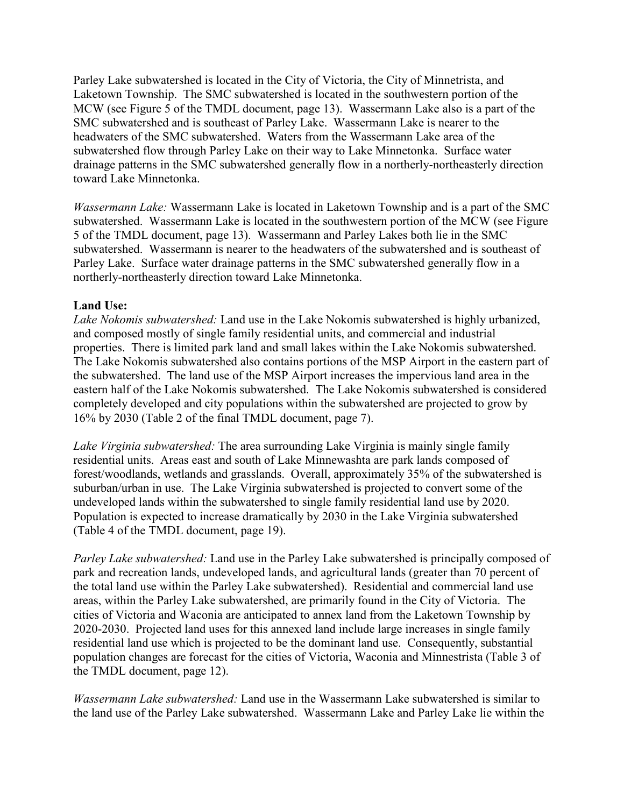Parley Lake subwatershed is located in the City of Victoria, the City of Minnetrista, and Laketown Township. The SMC subwatershed is located in the southwestern portion of the MCW (see Figure 5 of the TMDL document, page 13). Wassermann Lake also is a part of the SMC subwatershed and is southeast of Parley Lake. Wassermann Lake is nearer to the headwaters of the SMC subwatershed. Waters from the Wassermann Lake area of the subwatershed flow through Parley Lake on their way to Lake Minnetonka. Surface water drainage patterns in the SMC subwatershed generally flow in a northerly-northeasterly direction toward Lake Minnetonka.

*Wassermann Lake:* Wassermann Lake is located in Laketown Township and is a part of the SMC subwatershed. Wassermann Lake is located in the southwestern portion of the MCW (see Figure 5 of the TMDL document, page 13). Wassermann and Parley Lakes both lie in the SMC subwatershed. Wassermann is nearer to the headwaters of the subwatershed and is southeast of Parley Lake. Surface water drainage patterns in the SMC subwatershed generally flow in a northerly-northeasterly direction toward Lake Minnetonka.

## **Land Use:**

*Lake Nokomis subwatershed:* Land use in the Lake Nokomis subwatershed is highly urbanized, and composed mostly of single family residential units, and commercial and industrial properties. There is limited park land and small lakes within the Lake Nokomis subwatershed. The Lake Nokomis subwatershed also contains portions of the MSP Airport in the eastern part of the subwatershed. The land use of the MSP Airport increases the impervious land area in the eastern half of the Lake Nokomis subwatershed. The Lake Nokomis subwatershed is considered completely developed and city populations within the subwatershed are projected to grow by 16% by 2030 (Table 2 of the final TMDL document, page 7).

*Lake Virginia subwatershed:* The area surrounding Lake Virginia is mainly single family residential units. Areas east and south of Lake Minnewashta are park lands composed of forest/woodlands, wetlands and grasslands. Overall, approximately 35% of the subwatershed is suburban/urban in use. The Lake Virginia subwatershed is projected to convert some of the undeveloped lands within the subwatershed to single family residential land use by 2020. Population is expected to increase dramatically by 2030 in the Lake Virginia subwatershed (Table 4 of the TMDL document, page 19).

*Parley Lake subwatershed:* Land use in the Parley Lake subwatershed is principally composed of park and recreation lands, undeveloped lands, and agricultural lands (greater than 70 percent of the total land use within the Parley Lake subwatershed). Residential and commercial land use areas, within the Parley Lake subwatershed, are primarily found in the City of Victoria. The cities of Victoria and Waconia are anticipated to annex land from the Laketown Township by 2020-2030. Projected land uses for this annexed land include large increases in single family residential land use which is projected to be the dominant land use. Consequently, substantial population changes are forecast for the cities of Victoria, Waconia and Minnestrista (Table 3 of the TMDL document, page 12).

*Wassermann Lake subwatershed:* Land use in the Wassermann Lake subwatershed is similar to the land use of the Parley Lake subwatershed. Wassermann Lake and Parley Lake lie within the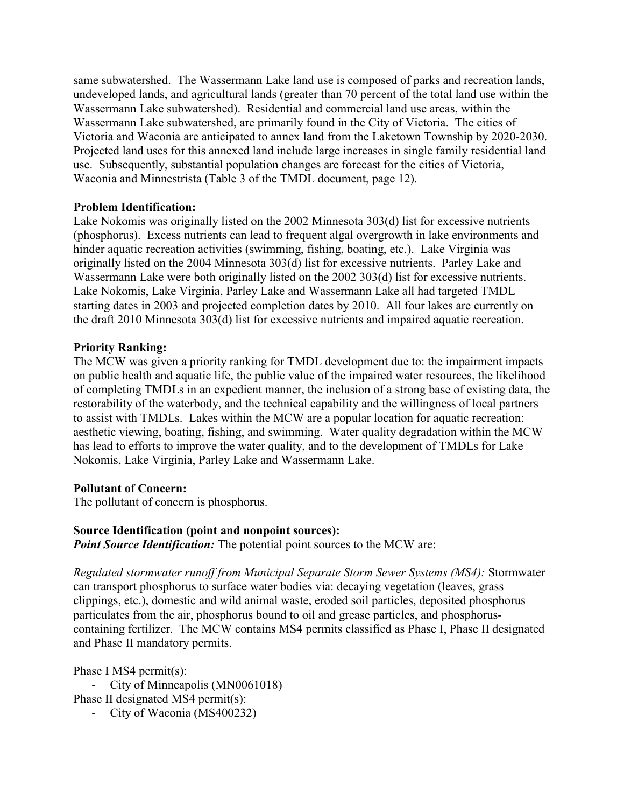same subwatershed. The Wassermann Lake land use is composed of parks and recreation lands, undeveloped lands, and agricultural lands (greater than 70 percent of the total land use within the Wassermann Lake subwatershed). Residential and commercial land use areas, within the Wassermann Lake subwatershed, are primarily found in the City of Victoria. The cities of Victoria and Waconia are anticipated to annex land from the Laketown Township by 2020-2030. Projected land uses for this annexed land include large increases in single family residential land use. Subsequently, substantial population changes are forecast for the cities of Victoria, Waconia and Minnestrista (Table 3 of the TMDL document, page 12).

## **Problem Identification:**

Lake Nokomis was originally listed on the 2002 Minnesota 303(d) list for excessive nutrients (phosphorus). Excess nutrients can lead to frequent algal overgrowth in lake environments and hinder aquatic recreation activities (swimming, fishing, boating, etc.). Lake Virginia was originally listed on the 2004 Minnesota 303(d) list for excessive nutrients. Parley Lake and Wassermann Lake were both originally listed on the 2002 303(d) list for excessive nutrients. Lake Nokomis, Lake Virginia, Parley Lake and Wassermann Lake all had targeted TMDL starting dates in 2003 and projected completion dates by 2010. All four lakes are currently on the draft 2010 Minnesota 303(d) list for excessive nutrients and impaired aquatic recreation.

## **Priority Ranking:**

The MCW was given a priority ranking for TMDL development due to: the impairment impacts on public health and aquatic life, the public value of the impaired water resources, the likelihood of completing TMDLs in an expedient manner, the inclusion of a strong base of existing data, the restorability of the waterbody, and the technical capability and the willingness of local partners to assist with TMDLs. Lakes within the MCW are a popular location for aquatic recreation: aesthetic viewing, boating, fishing, and swimming. Water quality degradation within the MCW has lead to efforts to improve the water quality, and to the development of TMDLs for Lake Nokomis, Lake Virginia, Parley Lake and Wassermann Lake.

#### **Pollutant of Concern:**

The pollutant of concern is phosphorus.

## **Source Identification (point and nonpoint sources):**

*Point Source Identification:* The potential point sources to the MCW are:

*Regulated stormwater runoff from Municipal Separate Storm Sewer Systems (MS4):* Stormwater can transport phosphorus to surface water bodies via: decaying vegetation (leaves, grass clippings, etc.), domestic and wild animal waste, eroded soil particles, deposited phosphorus particulates from the air, phosphorus bound to oil and grease particles, and phosphoruscontaining fertilizer. The MCW contains MS4 permits classified as Phase I, Phase II designated and Phase II mandatory permits.

Phase I MS4 permit(s):

- City of Minneapolis (MN0061018)

Phase II designated MS4 permit(s):

- City of Waconia (MS400232)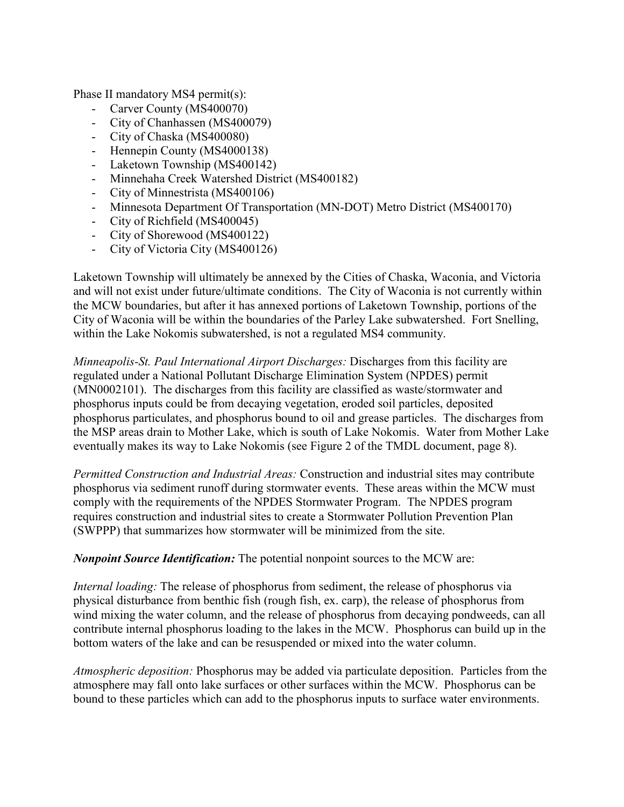Phase II mandatory MS4 permit(s):

- Carver County (MS400070)
- City of Chanhassen (MS400079)
- City of Chaska (MS400080)
- Hennepin County (MS4000138)
- Laketown Township (MS400142)
- Minnehaha Creek Watershed District (MS400182)
- City of Minnestrista (MS400106)
- Minnesota Department Of Transportation (MN-DOT) Metro District (MS400170)
- City of Richfield (MS400045)
- City of Shorewood (MS400122)
- City of Victoria City (MS400126)

Laketown Township will ultimately be annexed by the Cities of Chaska, Waconia, and Victoria and will not exist under future/ultimate conditions. The City of Waconia is not currently within the MCW boundaries, but after it has annexed portions of Laketown Township, portions of the City of Waconia will be within the boundaries of the Parley Lake subwatershed. Fort Snelling, within the Lake Nokomis subwatershed, is not a regulated MS4 community.

*Minneapolis-St. Paul International Airport Discharges:* Discharges from this facility are regulated under a National Pollutant Discharge Elimination System (NPDES) permit (MN0002101). The discharges from this facility are classified as waste/stormwater and phosphorus inputs could be from decaying vegetation, eroded soil particles, deposited phosphorus particulates, and phosphorus bound to oil and grease particles. The discharges from the MSP areas drain to Mother Lake, which is south of Lake Nokomis. Water from Mother Lake eventually makes its way to Lake Nokomis (see Figure 2 of the TMDL document, page 8).

*Permitted Construction and Industrial Areas:* Construction and industrial sites may contribute phosphorus via sediment runoff during stormwater events. These areas within the MCW must comply with the requirements of the NPDES Stormwater Program. The NPDES program requires construction and industrial sites to create a Stormwater Pollution Prevention Plan (SWPPP) that summarizes how stormwater will be minimized from the site.

*Nonpoint Source Identification:* The potential nonpoint sources to the MCW are:

*Internal loading:* The release of phosphorus from sediment, the release of phosphorus via physical disturbance from benthic fish (rough fish, ex. carp), the release of phosphorus from wind mixing the water column, and the release of phosphorus from decaying pondweeds, can all contribute internal phosphorus loading to the lakes in the MCW. Phosphorus can build up in the bottom waters of the lake and can be resuspended or mixed into the water column.

*Atmospheric deposition:* Phosphorus may be added via particulate deposition. Particles from the atmosphere may fall onto lake surfaces or other surfaces within the MCW. Phosphorus can be bound to these particles which can add to the phosphorus inputs to surface water environments.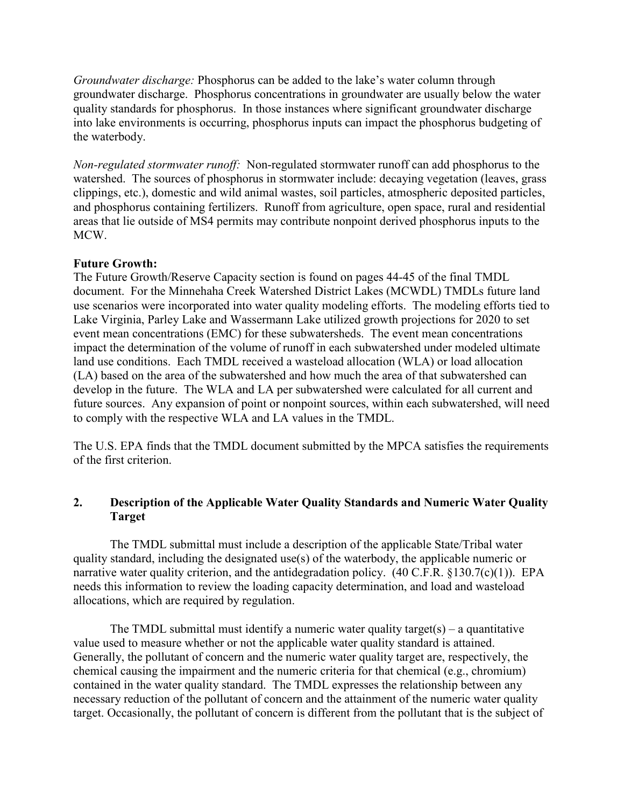*Groundwater discharge:* Phosphorus can be added to the lake's water column through groundwater discharge. Phosphorus concentrations in groundwater are usually below the water quality standards for phosphorus. In those instances where significant groundwater discharge into lake environments is occurring, phosphorus inputs can impact the phosphorus budgeting of the waterbody.

*Non-regulated stormwater runoff:* Non-regulated stormwater runoff can add phosphorus to the watershed. The sources of phosphorus in stormwater include: decaying vegetation (leaves, grass clippings, etc.), domestic and wild animal wastes, soil particles, atmospheric deposited particles, and phosphorus containing fertilizers. Runoff from agriculture, open space, rural and residential areas that lie outside of MS4 permits may contribute nonpoint derived phosphorus inputs to the MCW.

## **Future Growth:**

The Future Growth/Reserve Capacity section is found on pages 44-45 of the final TMDL document. For the Minnehaha Creek Watershed District Lakes (MCWDL) TMDLs future land use scenarios were incorporated into water quality modeling efforts. The modeling efforts tied to Lake Virginia, Parley Lake and Wassermann Lake utilized growth projections for 2020 to set event mean concentrations (EMC) for these subwatersheds. The event mean concentrations impact the determination of the volume of runoff in each subwatershed under modeled ultimate land use conditions. Each TMDL received a wasteload allocation (WLA) or load allocation (LA) based on the area of the subwatershed and how much the area of that subwatershed can develop in the future. The WLA and LA per subwatershed were calculated for all current and future sources. Any expansion of point or nonpoint sources, within each subwatershed, will need to comply with the respective WLA and LA values in the TMDL.

The U.S. EPA finds that the TMDL document submitted by the MPCA satisfies the requirements of the first criterion.

## **2. Description of the Applicable Water Quality Standards and Numeric Water Quality Target**

 The TMDL submittal must include a description of the applicable State/Tribal water quality standard, including the designated use(s) of the waterbody, the applicable numeric or narrative water quality criterion, and the antidegradation policy.  $(40 \text{ C.F.R. } $130.7(c)(1))$ . EPA needs this information to review the loading capacity determination, and load and wasteload allocations, which are required by regulation.

The TMDL submittal must identify a numeric water quality target(s) – a quantitative value used to measure whether or not the applicable water quality standard is attained. Generally, the pollutant of concern and the numeric water quality target are, respectively, the chemical causing the impairment and the numeric criteria for that chemical (e.g., chromium) contained in the water quality standard. The TMDL expresses the relationship between any necessary reduction of the pollutant of concern and the attainment of the numeric water quality target. Occasionally, the pollutant of concern is different from the pollutant that is the subject of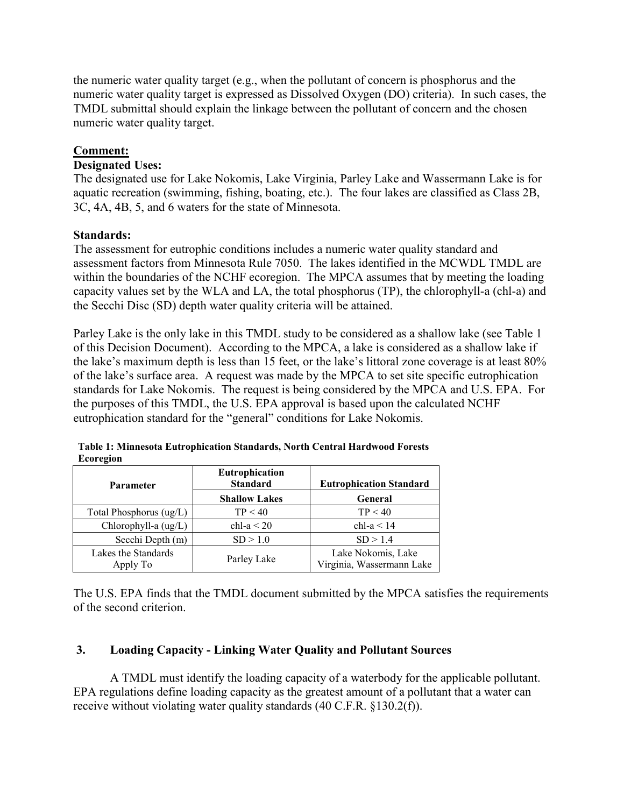the numeric water quality target (e.g., when the pollutant of concern is phosphorus and the numeric water quality target is expressed as Dissolved Oxygen (DO) criteria). In such cases, the TMDL submittal should explain the linkage between the pollutant of concern and the chosen numeric water quality target.

## **Comment:**

## **Designated Uses:**

The designated use for Lake Nokomis, Lake Virginia, Parley Lake and Wassermann Lake is for aquatic recreation (swimming, fishing, boating, etc.). The four lakes are classified as Class 2B, 3C, 4A, 4B, 5, and 6 waters for the state of Minnesota.

## **Standards:**

The assessment for eutrophic conditions includes a numeric water quality standard and assessment factors from Minnesota Rule 7050. The lakes identified in the MCWDL TMDL are within the boundaries of the NCHF ecoregion. The MPCA assumes that by meeting the loading capacity values set by the WLA and LA, the total phosphorus (TP), the chlorophyll-a (chl-a) and the Secchi Disc (SD) depth water quality criteria will be attained.

Parley Lake is the only lake in this TMDL study to be considered as a shallow lake (see Table 1 of this Decision Document). According to the MPCA, a lake is considered as a shallow lake if the lake's maximum depth is less than 15 feet, or the lake's littoral zone coverage is at least 80% of the lake's surface area. A request was made by the MPCA to set site specific eutrophication standards for Lake Nokomis. The request is being considered by the MPCA and U.S. EPA. For the purposes of this TMDL, the U.S. EPA approval is based upon the calculated NCHF eutrophication standard for the "general" conditions for Lake Nokomis.

| <b>Parameter</b>                           | Eutrophication<br><b>Standard</b> | <b>Eutrophication Standard</b>                  |
|--------------------------------------------|-----------------------------------|-------------------------------------------------|
|                                            | <b>Shallow Lakes</b>              | General                                         |
| Total Phosphorus (ug/L)                    | TP < 40                           | TP < 40                                         |
| Chlorophyll-a $\left(\frac{u g}{L}\right)$ | chl-a $\leq$ 20                   | chl-a $<$ 14                                    |
| Secchi Depth (m)                           | SD > 1.0                          | SD > 1.4                                        |
| Lakes the Standards<br>Apply To            | Parley Lake                       | Lake Nokomis, Lake<br>Virginia, Wassermann Lake |

**Table 1: Minnesota Eutrophication Standards, North Central Hardwood Forests Ecoregion** 

The U.S. EPA finds that the TMDL document submitted by the MPCA satisfies the requirements of the second criterion.

## **3. Loading Capacity - Linking Water Quality and Pollutant Sources**

 A TMDL must identify the loading capacity of a waterbody for the applicable pollutant. EPA regulations define loading capacity as the greatest amount of a pollutant that a water can receive without violating water quality standards (40 C.F.R. §130.2(f)).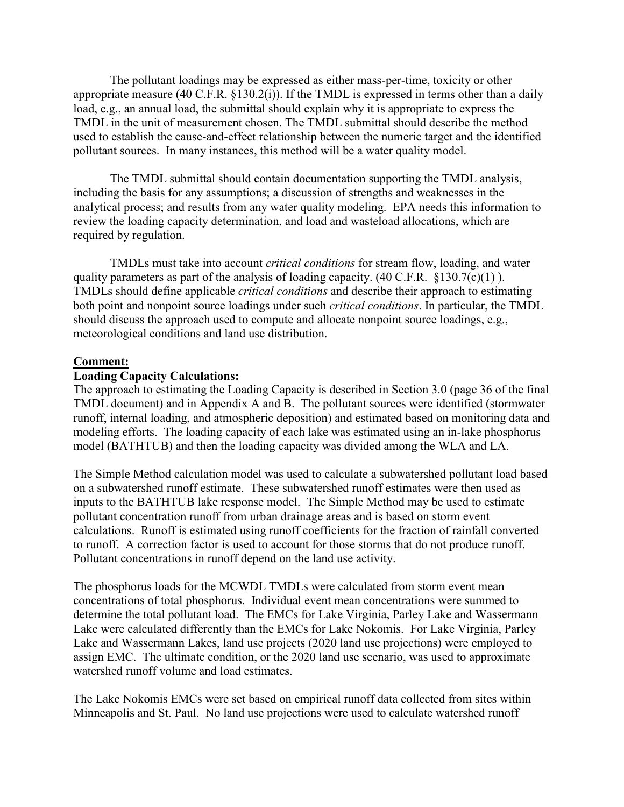The pollutant loadings may be expressed as either mass-per-time, toxicity or other appropriate measure (40 C.F.R. §130.2(i)). If the TMDL is expressed in terms other than a daily load, e.g., an annual load, the submittal should explain why it is appropriate to express the TMDL in the unit of measurement chosen. The TMDL submittal should describe the method used to establish the cause-and-effect relationship between the numeric target and the identified pollutant sources. In many instances, this method will be a water quality model.

 The TMDL submittal should contain documentation supporting the TMDL analysis, including the basis for any assumptions; a discussion of strengths and weaknesses in the analytical process; and results from any water quality modeling. EPA needs this information to review the loading capacity determination, and load and wasteload allocations, which are required by regulation.

 TMDLs must take into account *critical conditions* for stream flow, loading, and water quality parameters as part of the analysis of loading capacity.  $(40 \text{ C.F.R. } §130.7(c)(1))$ . TMDLs should define applicable *critical conditions* and describe their approach to estimating both point and nonpoint source loadings under such *critical conditions*. In particular, the TMDL should discuss the approach used to compute and allocate nonpoint source loadings, e.g., meteorological conditions and land use distribution.

## **Comment:**

## **Loading Capacity Calculations:**

The approach to estimating the Loading Capacity is described in Section 3.0 (page 36 of the final TMDL document) and in Appendix A and B. The pollutant sources were identified (stormwater runoff, internal loading, and atmospheric deposition) and estimated based on monitoring data and modeling efforts. The loading capacity of each lake was estimated using an in-lake phosphorus model (BATHTUB) and then the loading capacity was divided among the WLA and LA.

The Simple Method calculation model was used to calculate a subwatershed pollutant load based on a subwatershed runoff estimate. These subwatershed runoff estimates were then used as inputs to the BATHTUB lake response model. The Simple Method may be used to estimate pollutant concentration runoff from urban drainage areas and is based on storm event calculations. Runoff is estimated using runoff coefficients for the fraction of rainfall converted to runoff. A correction factor is used to account for those storms that do not produce runoff. Pollutant concentrations in runoff depend on the land use activity.

The phosphorus loads for the MCWDL TMDLs were calculated from storm event mean concentrations of total phosphorus. Individual event mean concentrations were summed to determine the total pollutant load. The EMCs for Lake Virginia, Parley Lake and Wassermann Lake were calculated differently than the EMCs for Lake Nokomis. For Lake Virginia, Parley Lake and Wassermann Lakes, land use projects (2020 land use projections) were employed to assign EMC. The ultimate condition, or the 2020 land use scenario, was used to approximate watershed runoff volume and load estimates.

The Lake Nokomis EMCs were set based on empirical runoff data collected from sites within Minneapolis and St. Paul. No land use projections were used to calculate watershed runoff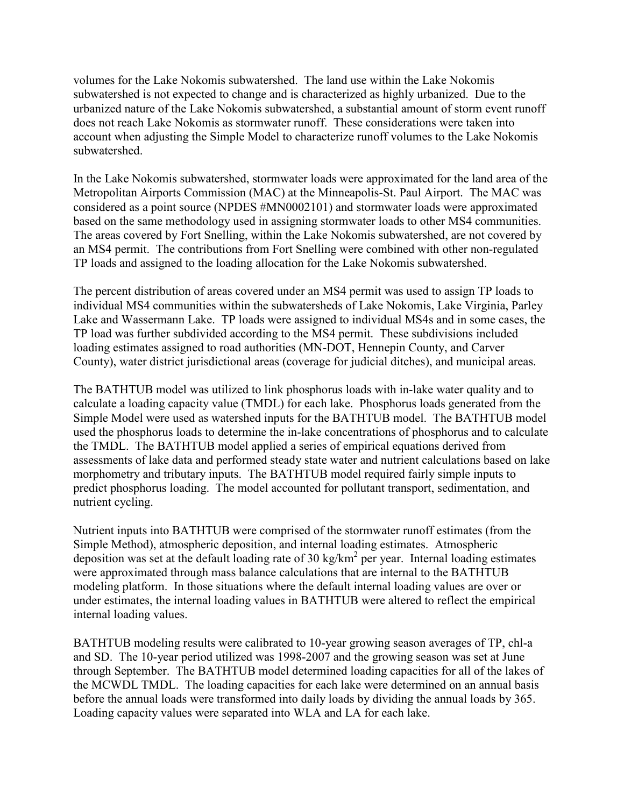volumes for the Lake Nokomis subwatershed. The land use within the Lake Nokomis subwatershed is not expected to change and is characterized as highly urbanized. Due to the urbanized nature of the Lake Nokomis subwatershed, a substantial amount of storm event runoff does not reach Lake Nokomis as stormwater runoff. These considerations were taken into account when adjusting the Simple Model to characterize runoff volumes to the Lake Nokomis subwatershed.

In the Lake Nokomis subwatershed, stormwater loads were approximated for the land area of the Metropolitan Airports Commission (MAC) at the Minneapolis-St. Paul Airport. The MAC was considered as a point source (NPDES #MN0002101) and stormwater loads were approximated based on the same methodology used in assigning stormwater loads to other MS4 communities. The areas covered by Fort Snelling, within the Lake Nokomis subwatershed, are not covered by an MS4 permit. The contributions from Fort Snelling were combined with other non-regulated TP loads and assigned to the loading allocation for the Lake Nokomis subwatershed.

The percent distribution of areas covered under an MS4 permit was used to assign TP loads to individual MS4 communities within the subwatersheds of Lake Nokomis, Lake Virginia, Parley Lake and Wassermann Lake. TP loads were assigned to individual MS4s and in some cases, the TP load was further subdivided according to the MS4 permit. These subdivisions included loading estimates assigned to road authorities (MN-DOT, Hennepin County, and Carver County), water district jurisdictional areas (coverage for judicial ditches), and municipal areas.

The BATHTUB model was utilized to link phosphorus loads with in-lake water quality and to calculate a loading capacity value (TMDL) for each lake. Phosphorus loads generated from the Simple Model were used as watershed inputs for the BATHTUB model. The BATHTUB model used the phosphorus loads to determine the in-lake concentrations of phosphorus and to calculate the TMDL. The BATHTUB model applied a series of empirical equations derived from assessments of lake data and performed steady state water and nutrient calculations based on lake morphometry and tributary inputs. The BATHTUB model required fairly simple inputs to predict phosphorus loading. The model accounted for pollutant transport, sedimentation, and nutrient cycling.

Nutrient inputs into BATHTUB were comprised of the stormwater runoff estimates (from the Simple Method), atmospheric deposition, and internal loading estimates. Atmospheric deposition was set at the default loading rate of 30 kg/km<sup>2</sup> per year. Internal loading estimates were approximated through mass balance calculations that are internal to the BATHTUB modeling platform. In those situations where the default internal loading values are over or under estimates, the internal loading values in BATHTUB were altered to reflect the empirical internal loading values.

BATHTUB modeling results were calibrated to 10-year growing season averages of TP, chl-a and SD. The 10-year period utilized was 1998-2007 and the growing season was set at June through September. The BATHTUB model determined loading capacities for all of the lakes of the MCWDL TMDL. The loading capacities for each lake were determined on an annual basis before the annual loads were transformed into daily loads by dividing the annual loads by 365. Loading capacity values were separated into WLA and LA for each lake.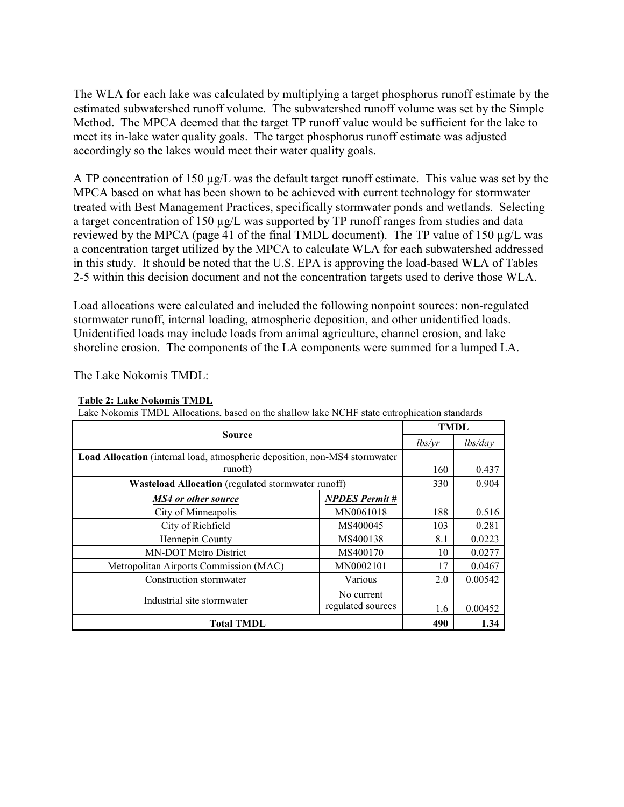The WLA for each lake was calculated by multiplying a target phosphorus runoff estimate by the estimated subwatershed runoff volume. The subwatershed runoff volume was set by the Simple Method. The MPCA deemed that the target TP runoff value would be sufficient for the lake to meet its in-lake water quality goals. The target phosphorus runoff estimate was adjusted accordingly so the lakes would meet their water quality goals.

A TP concentration of 150 µg/L was the default target runoff estimate. This value was set by the MPCA based on what has been shown to be achieved with current technology for stormwater treated with Best Management Practices, specifically stormwater ponds and wetlands. Selecting a target concentration of 150 µg/L was supported by TP runoff ranges from studies and data reviewed by the MPCA (page 41 of the final TMDL document). The TP value of 150 µg/L was a concentration target utilized by the MPCA to calculate WLA for each subwatershed addressed in this study. It should be noted that the U.S. EPA is approving the load-based WLA of Tables 2-5 within this decision document and not the concentration targets used to derive those WLA.

Load allocations were calculated and included the following nonpoint sources: non-regulated stormwater runoff, internal loading, atmospheric deposition, and other unidentified loads. Unidentified loads may include loads from animal agriculture, channel erosion, and lake shoreline erosion. The components of the LA components were summed for a lumped LA.

The Lake Nokomis TMDL:

| Source                                                                     |                       | <b>TMDL</b> |         |
|----------------------------------------------------------------------------|-----------------------|-------------|---------|
|                                                                            |                       | lbs/yr      | lbs/day |
| Load Allocation (internal load, atmospheric deposition, non-MS4 stormwater |                       |             |         |
| runoff)                                                                    |                       | 160         | 0.437   |
| <b>Wasteload Allocation</b> (regulated stormwater runoff)                  |                       | 330         | 0.904   |
| MS4 or other source                                                        | <b>NPDES Permit #</b> |             |         |
| City of Minneapolis                                                        | MN0061018             | 188         | 0.516   |
| City of Richfield                                                          | MS400045              | 103         | 0.281   |
| Hennepin County                                                            | MS400138              | 8.1         | 0.0223  |
| MN-DOT Metro District                                                      | MS400170              | 10          | 0.0277  |
| Metropolitan Airports Commission (MAC)                                     | MN0002101             | 17          | 0.0467  |
| Construction stormwater                                                    | Various               | 2.0         | 0.00542 |
|                                                                            | No current            |             |         |
| Industrial site stormwater                                                 | regulated sources     | 1.6         | 0.00452 |
| <b>Total TMDL</b>                                                          |                       | 490         | 1.34    |

#### **Table 2: Lake Nokomis TMDL**

 $L$  and  $L$  and  $L$  state  $L$  allocations, based on the shallow lake  $L$  state entrophical standards on the state entropy of  $L$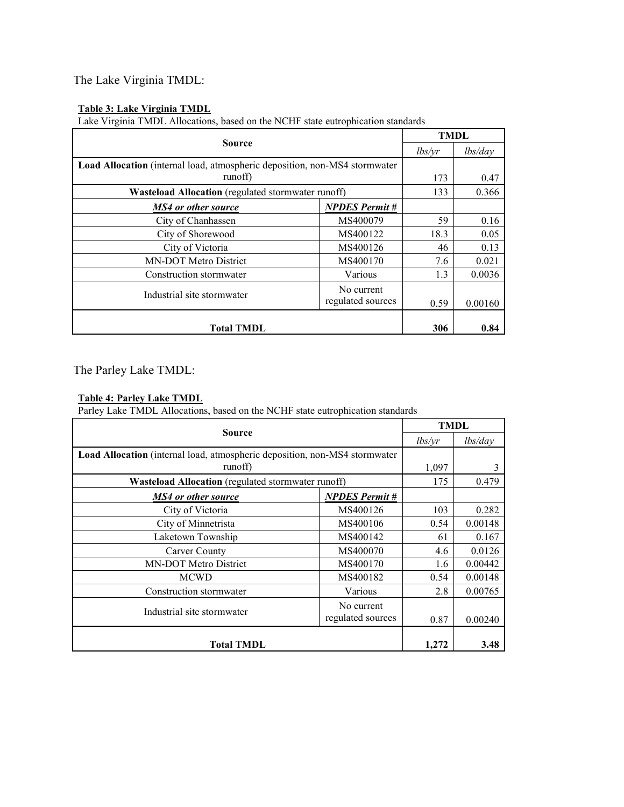## The Lake Virginia TMDL:

#### **Table 3: Lake Virginia TMDL**

Lake Virginia TMDL Allocations, based on the NCHF state eutrophication standards

| <b>Source</b>                                                              |                                 | <b>TMDL</b> |         |
|----------------------------------------------------------------------------|---------------------------------|-------------|---------|
|                                                                            |                                 | lbs/yr      | lbs/day |
| Load Allocation (internal load, atmospheric deposition, non-MS4 stormwater |                                 |             |         |
| runoff)                                                                    |                                 | 173         | 0.47    |
| Wasteload Allocation (regulated stormwater runoff)                         |                                 | 133         | 0.366   |
| <b>MS4</b> or other source                                                 | <b>NPDES Permit #</b>           |             |         |
| City of Chanhassen                                                         | MS400079                        | 59          | 0.16    |
| City of Shorewood                                                          | MS400122                        | 18.3        | 0.05    |
| City of Victoria                                                           | MS400126                        | 46          | 0.13    |
| MN-DOT Metro District                                                      | MS400170                        | 7.6         | 0.021   |
| Construction stormwater                                                    | Various                         | 1.3         | 0.0036  |
| Industrial site stormwater                                                 | No current<br>regulated sources | 0.59        | 0.00160 |
| <b>Total TMDL</b>                                                          |                                 | 306         | 0.84    |

The Parley Lake TMDL:

#### **Table 4: Parley Lake TMDL**

Parley Lake TMDL Allocations, based on the NCHF state eutrophication standards

| <b>Source</b>                                                              |                                 | <b>TMDL</b> |         |
|----------------------------------------------------------------------------|---------------------------------|-------------|---------|
|                                                                            |                                 | lbs/yr      | lbs/day |
| Load Allocation (internal load, atmospheric deposition, non-MS4 stormwater |                                 |             |         |
| runoff)                                                                    |                                 | 1,097       | 3       |
| Wasteload Allocation (regulated stormwater runoff)                         |                                 | 175         | 0.479   |
| MS4 or other source                                                        | <b>NPDES</b> Permit #           |             |         |
| City of Victoria                                                           | MS400126                        | 103         | 0.282   |
| City of Minnetrista                                                        | MS400106                        | 0.54        | 0.00148 |
| Laketown Township                                                          | MS400142                        | 61          | 0.167   |
| Carver County                                                              | MS400070                        | 4.6         | 0.0126  |
| <b>MN-DOT Metro District</b>                                               | MS400170                        | 1.6         | 0.00442 |
| <b>MCWD</b>                                                                | MS400182                        | 0.54        | 0.00148 |
| Construction stormwater                                                    | Various                         | 2.8         | 0.00765 |
| Industrial site stormwater                                                 | No current<br>regulated sources | 0.87        | 0.00240 |
| <b>Total TMDL</b>                                                          |                                 | 1,272       | 3.48    |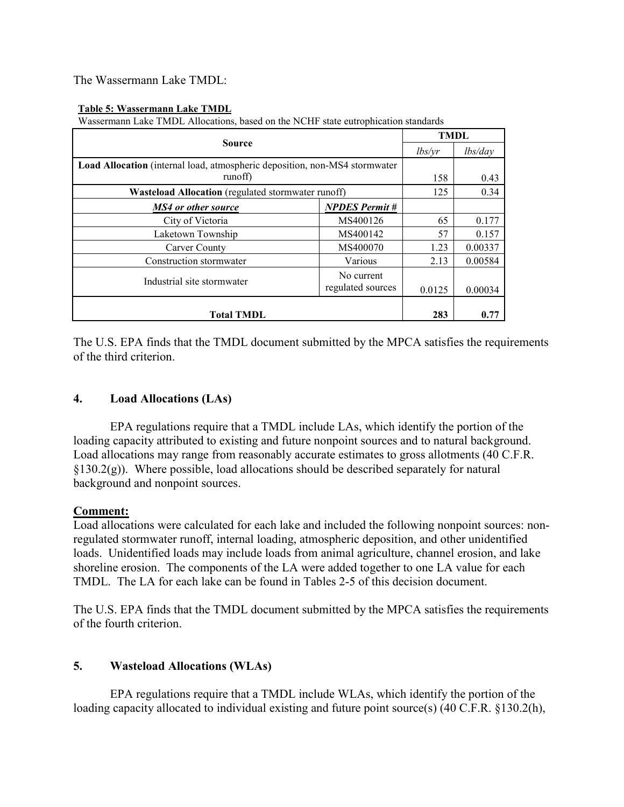The Wassermann Lake TMDL:

#### **Table 5: Wassermann Lake TMDL**

Wassermann Lake TMDL Allocations, based on the NCHF state eutrophication standards

| <b>Source</b>                                                                     |                       | <b>TMDL</b> |         |
|-----------------------------------------------------------------------------------|-----------------------|-------------|---------|
|                                                                                   |                       | lbs/vr      | lbs/day |
| <b>Load Allocation</b> (internal load, atmospheric deposition, non-MS4 stormwater |                       |             |         |
| runoff)                                                                           |                       | 158         | 0.43    |
| <b>Wasteload Allocation</b> (regulated stormwater runoff)                         |                       | 125         | 0.34    |
| MS4 or other source                                                               | <b>NPDES</b> Permit # |             |         |
| City of Victoria                                                                  | MS400126              | 65          | 0.177   |
| Laketown Township                                                                 | MS400142              | 57          | 0.157   |
| Carver County                                                                     | MS400070              | 1.23        | 0.00337 |
| Construction stormwater                                                           | Various               | 2.13        | 0.00584 |
| Industrial site stormwater                                                        | No current            |             |         |
|                                                                                   | regulated sources     | 0.0125      | 0.00034 |
|                                                                                   |                       |             |         |
| <b>Total TMDL</b>                                                                 |                       | 283         | 0.77    |

The U.S. EPA finds that the TMDL document submitted by the MPCA satisfies the requirements of the third criterion.

## **4. Load Allocations (LAs)**

 EPA regulations require that a TMDL include LAs, which identify the portion of the loading capacity attributed to existing and future nonpoint sources and to natural background. Load allocations may range from reasonably accurate estimates to gross allotments (40 C.F.R.  $\S 130.2(g)$ ). Where possible, load allocations should be described separately for natural background and nonpoint sources.

#### **Comment:**

Load allocations were calculated for each lake and included the following nonpoint sources: nonregulated stormwater runoff, internal loading, atmospheric deposition, and other unidentified loads. Unidentified loads may include loads from animal agriculture, channel erosion, and lake shoreline erosion. The components of the LA were added together to one LA value for each TMDL. The LA for each lake can be found in Tables 2-5 of this decision document.

The U.S. EPA finds that the TMDL document submitted by the MPCA satisfies the requirements of the fourth criterion.

## **5. Wasteload Allocations (WLAs)**

 EPA regulations require that a TMDL include WLAs, which identify the portion of the loading capacity allocated to individual existing and future point source(s) (40 C.F.R. §130.2(h),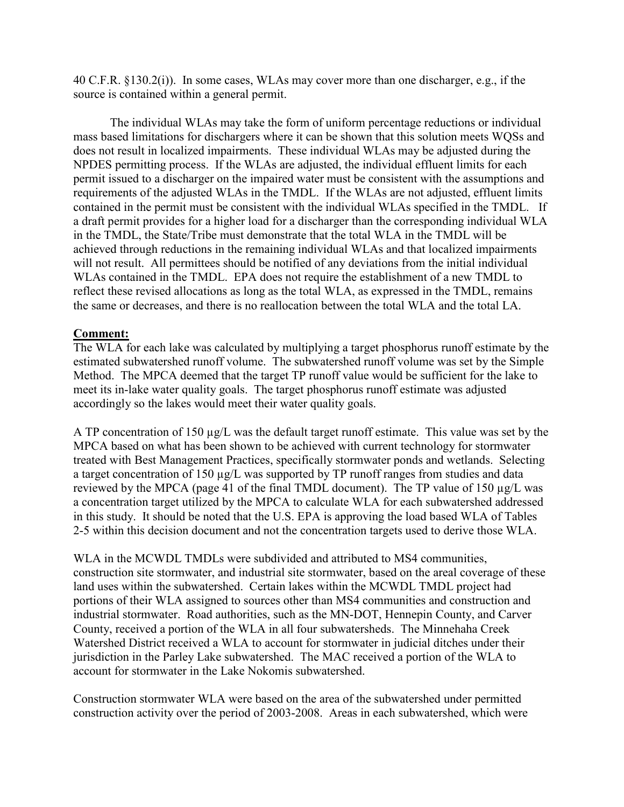40 C.F.R. §130.2(i)). In some cases, WLAs may cover more than one discharger, e.g., if the source is contained within a general permit.

 The individual WLAs may take the form of uniform percentage reductions or individual mass based limitations for dischargers where it can be shown that this solution meets WQSs and does not result in localized impairments. These individual WLAs may be adjusted during the NPDES permitting process. If the WLAs are adjusted, the individual effluent limits for each permit issued to a discharger on the impaired water must be consistent with the assumptions and requirements of the adjusted WLAs in the TMDL. If the WLAs are not adjusted, effluent limits contained in the permit must be consistent with the individual WLAs specified in the TMDL. If a draft permit provides for a higher load for a discharger than the corresponding individual WLA in the TMDL, the State/Tribe must demonstrate that the total WLA in the TMDL will be achieved through reductions in the remaining individual WLAs and that localized impairments will not result. All permittees should be notified of any deviations from the initial individual WLAs contained in the TMDL. EPA does not require the establishment of a new TMDL to reflect these revised allocations as long as the total WLA, as expressed in the TMDL, remains the same or decreases, and there is no reallocation between the total WLA and the total LA.

## **Comment:**

The WLA for each lake was calculated by multiplying a target phosphorus runoff estimate by the estimated subwatershed runoff volume. The subwatershed runoff volume was set by the Simple Method. The MPCA deemed that the target TP runoff value would be sufficient for the lake to meet its in-lake water quality goals. The target phosphorus runoff estimate was adjusted accordingly so the lakes would meet their water quality goals.

A TP concentration of 150 µg/L was the default target runoff estimate. This value was set by the MPCA based on what has been shown to be achieved with current technology for stormwater treated with Best Management Practices, specifically stormwater ponds and wetlands. Selecting a target concentration of 150 µg/L was supported by TP runoff ranges from studies and data reviewed by the MPCA (page 41 of the final TMDL document). The TP value of 150 µg/L was a concentration target utilized by the MPCA to calculate WLA for each subwatershed addressed in this study. It should be noted that the U.S. EPA is approving the load based WLA of Tables 2-5 within this decision document and not the concentration targets used to derive those WLA.

WLA in the MCWDL TMDLs were subdivided and attributed to MS4 communities, construction site stormwater, and industrial site stormwater, based on the areal coverage of these land uses within the subwatershed. Certain lakes within the MCWDL TMDL project had portions of their WLA assigned to sources other than MS4 communities and construction and industrial stormwater. Road authorities, such as the MN-DOT, Hennepin County, and Carver County, received a portion of the WLA in all four subwatersheds. The Minnehaha Creek Watershed District received a WLA to account for stormwater in judicial ditches under their jurisdiction in the Parley Lake subwatershed. The MAC received a portion of the WLA to account for stormwater in the Lake Nokomis subwatershed.

Construction stormwater WLA were based on the area of the subwatershed under permitted construction activity over the period of 2003-2008. Areas in each subwatershed, which were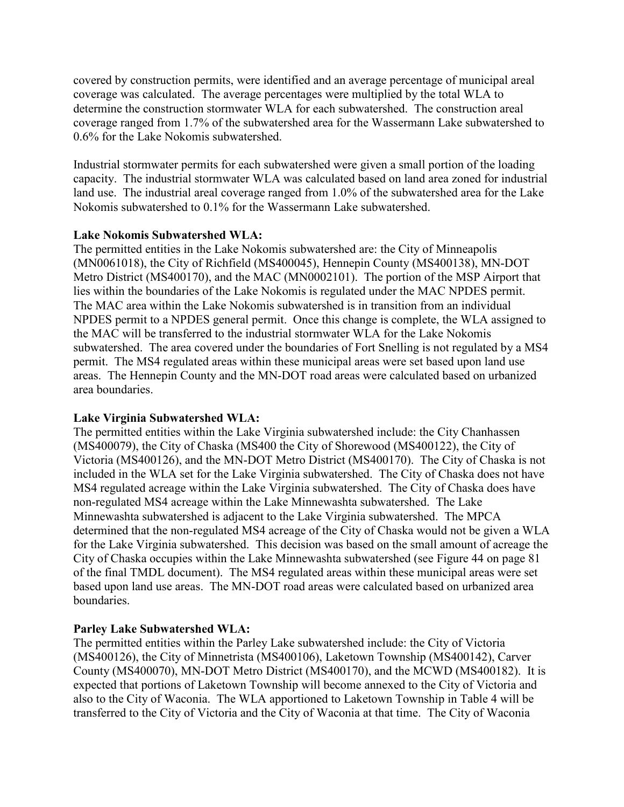covered by construction permits, were identified and an average percentage of municipal areal coverage was calculated. The average percentages were multiplied by the total WLA to determine the construction stormwater WLA for each subwatershed. The construction areal coverage ranged from 1.7% of the subwatershed area for the Wassermann Lake subwatershed to 0.6% for the Lake Nokomis subwatershed.

Industrial stormwater permits for each subwatershed were given a small portion of the loading capacity. The industrial stormwater WLA was calculated based on land area zoned for industrial land use. The industrial areal coverage ranged from 1.0% of the subwatershed area for the Lake Nokomis subwatershed to 0.1% for the Wassermann Lake subwatershed.

## **Lake Nokomis Subwatershed WLA:**

The permitted entities in the Lake Nokomis subwatershed are: the City of Minneapolis (MN0061018), the City of Richfield (MS400045), Hennepin County (MS400138), MN-DOT Metro District (MS400170), and the MAC (MN0002101). The portion of the MSP Airport that lies within the boundaries of the Lake Nokomis is regulated under the MAC NPDES permit. The MAC area within the Lake Nokomis subwatershed is in transition from an individual NPDES permit to a NPDES general permit. Once this change is complete, the WLA assigned to the MAC will be transferred to the industrial stormwater WLA for the Lake Nokomis subwatershed. The area covered under the boundaries of Fort Snelling is not regulated by a MS4 permit. The MS4 regulated areas within these municipal areas were set based upon land use areas. The Hennepin County and the MN-DOT road areas were calculated based on urbanized area boundaries.

## **Lake Virginia Subwatershed WLA:**

The permitted entities within the Lake Virginia subwatershed include: the City Chanhassen (MS400079), the City of Chaska (MS400 the City of Shorewood (MS400122), the City of Victoria (MS400126), and the MN-DOT Metro District (MS400170). The City of Chaska is not included in the WLA set for the Lake Virginia subwatershed. The City of Chaska does not have MS4 regulated acreage within the Lake Virginia subwatershed. The City of Chaska does have non-regulated MS4 acreage within the Lake Minnewashta subwatershed. The Lake Minnewashta subwatershed is adjacent to the Lake Virginia subwatershed. The MPCA determined that the non-regulated MS4 acreage of the City of Chaska would not be given a WLA for the Lake Virginia subwatershed. This decision was based on the small amount of acreage the City of Chaska occupies within the Lake Minnewashta subwatershed (see Figure 44 on page 81 of the final TMDL document). The MS4 regulated areas within these municipal areas were set based upon land use areas. The MN-DOT road areas were calculated based on urbanized area boundaries.

## **Parley Lake Subwatershed WLA:**

The permitted entities within the Parley Lake subwatershed include: the City of Victoria (MS400126), the City of Minnetrista (MS400106), Laketown Township (MS400142), Carver County (MS400070), MN-DOT Metro District (MS400170), and the MCWD (MS400182). It is expected that portions of Laketown Township will become annexed to the City of Victoria and also to the City of Waconia. The WLA apportioned to Laketown Township in Table 4 will be transferred to the City of Victoria and the City of Waconia at that time. The City of Waconia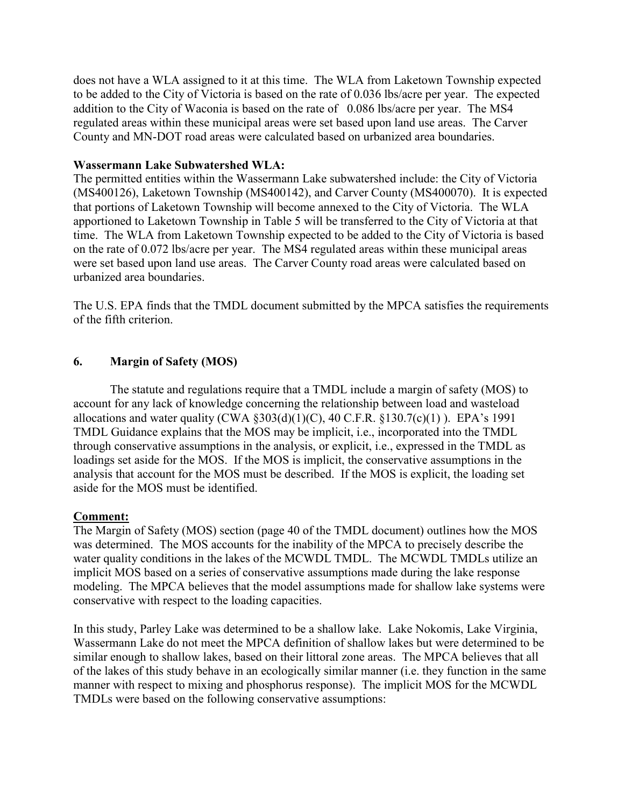does not have a WLA assigned to it at this time. The WLA from Laketown Township expected to be added to the City of Victoria is based on the rate of 0.036 lbs/acre per year. The expected addition to the City of Waconia is based on the rate of 0.086 lbs/acre per year. The MS4 regulated areas within these municipal areas were set based upon land use areas. The Carver County and MN-DOT road areas were calculated based on urbanized area boundaries.

#### **Wassermann Lake Subwatershed WLA:**

The permitted entities within the Wassermann Lake subwatershed include: the City of Victoria (MS400126), Laketown Township (MS400142), and Carver County (MS400070). It is expected that portions of Laketown Township will become annexed to the City of Victoria. The WLA apportioned to Laketown Township in Table 5 will be transferred to the City of Victoria at that time. The WLA from Laketown Township expected to be added to the City of Victoria is based on the rate of 0.072 lbs/acre per year. The MS4 regulated areas within these municipal areas were set based upon land use areas. The Carver County road areas were calculated based on urbanized area boundaries.

The U.S. EPA finds that the TMDL document submitted by the MPCA satisfies the requirements of the fifth criterion.

#### **6. Margin of Safety (MOS)**

 The statute and regulations require that a TMDL include a margin of safety (MOS) to account for any lack of knowledge concerning the relationship between load and wasteload allocations and water quality (CWA  $\S 303(d)(1)(C)$ , 40 C.F.R.  $\S 130.7(c)(1)$ ). EPA's 1991 TMDL Guidance explains that the MOS may be implicit, i.e., incorporated into the TMDL through conservative assumptions in the analysis, or explicit, i.e., expressed in the TMDL as loadings set aside for the MOS. If the MOS is implicit, the conservative assumptions in the analysis that account for the MOS must be described. If the MOS is explicit, the loading set aside for the MOS must be identified.

#### **Comment:**

The Margin of Safety (MOS) section (page 40 of the TMDL document) outlines how the MOS was determined. The MOS accounts for the inability of the MPCA to precisely describe the water quality conditions in the lakes of the MCWDL TMDL. The MCWDL TMDLs utilize an implicit MOS based on a series of conservative assumptions made during the lake response modeling. The MPCA believes that the model assumptions made for shallow lake systems were conservative with respect to the loading capacities.

In this study, Parley Lake was determined to be a shallow lake. Lake Nokomis, Lake Virginia, Wassermann Lake do not meet the MPCA definition of shallow lakes but were determined to be similar enough to shallow lakes, based on their littoral zone areas. The MPCA believes that all of the lakes of this study behave in an ecologically similar manner (i.e. they function in the same manner with respect to mixing and phosphorus response). The implicit MOS for the MCWDL TMDLs were based on the following conservative assumptions: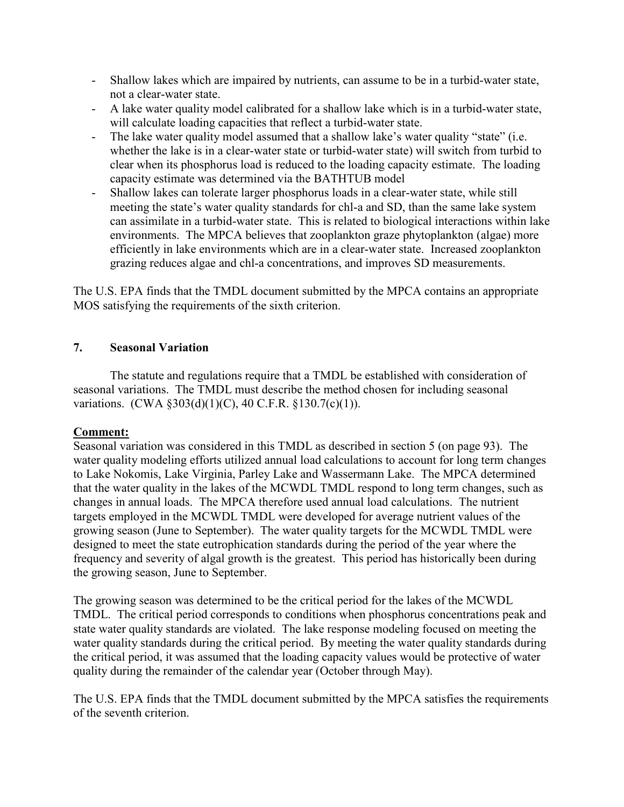- Shallow lakes which are impaired by nutrients, can assume to be in a turbid-water state, not a clear-water state.
- A lake water quality model calibrated for a shallow lake which is in a turbid-water state, will calculate loading capacities that reflect a turbid-water state.
- The lake water quality model assumed that a shallow lake's water quality "state" (i.e. whether the lake is in a clear-water state or turbid-water state) will switch from turbid to clear when its phosphorus load is reduced to the loading capacity estimate. The loading capacity estimate was determined via the BATHTUB model
- Shallow lakes can tolerate larger phosphorus loads in a clear-water state, while still meeting the state's water quality standards for chl-a and SD, than the same lake system can assimilate in a turbid-water state. This is related to biological interactions within lake environments. The MPCA believes that zooplankton graze phytoplankton (algae) more efficiently in lake environments which are in a clear-water state. Increased zooplankton grazing reduces algae and chl-a concentrations, and improves SD measurements.

The U.S. EPA finds that the TMDL document submitted by the MPCA contains an appropriate MOS satisfying the requirements of the sixth criterion.

## **7. Seasonal Variation**

 The statute and regulations require that a TMDL be established with consideration of seasonal variations. The TMDL must describe the method chosen for including seasonal variations. (CWA §303(d)(1)(C), 40 C.F.R. §130.7(c)(1)).

## **Comment:**

Seasonal variation was considered in this TMDL as described in section 5 (on page 93). The water quality modeling efforts utilized annual load calculations to account for long term changes to Lake Nokomis, Lake Virginia, Parley Lake and Wassermann Lake. The MPCA determined that the water quality in the lakes of the MCWDL TMDL respond to long term changes, such as changes in annual loads. The MPCA therefore used annual load calculations. The nutrient targets employed in the MCWDL TMDL were developed for average nutrient values of the growing season (June to September). The water quality targets for the MCWDL TMDL were designed to meet the state eutrophication standards during the period of the year where the frequency and severity of algal growth is the greatest. This period has historically been during the growing season, June to September.

The growing season was determined to be the critical period for the lakes of the MCWDL TMDL. The critical period corresponds to conditions when phosphorus concentrations peak and state water quality standards are violated. The lake response modeling focused on meeting the water quality standards during the critical period. By meeting the water quality standards during the critical period, it was assumed that the loading capacity values would be protective of water quality during the remainder of the calendar year (October through May).

The U.S. EPA finds that the TMDL document submitted by the MPCA satisfies the requirements of the seventh criterion.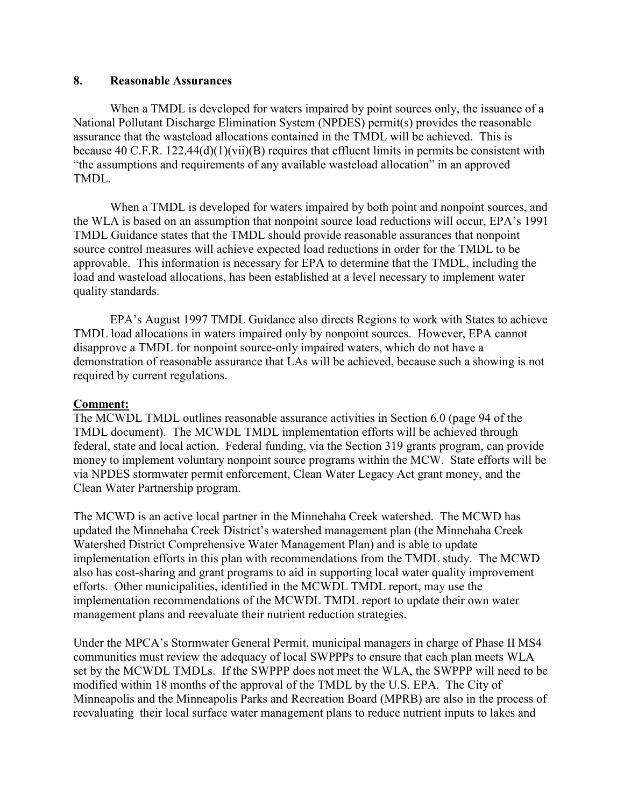## **8. Reasonable Assurances**

 When a TMDL is developed for waters impaired by point sources only, the issuance of a National Pollutant Discharge Elimination System (NPDES) permit(s) provides the reasonable assurance that the wasteload allocations contained in the TMDL will be achieved. This is because 40 C.F.R. 122.44(d)(1)(vii)(B) requires that effluent limits in permits be consistent with "the assumptions and requirements of any available wasteload allocation" in an approved TMDL.

 When a TMDL is developed for waters impaired by both point and nonpoint sources, and the WLA is based on an assumption that nonpoint source load reductions will occur, EPA's 1991 TMDL Guidance states that the TMDL should provide reasonable assurances that nonpoint source control measures will achieve expected load reductions in order for the TMDL to be approvable. This information is necessary for EPA to determine that the TMDL, including the load and wasteload allocations, has been established at a level necessary to implement water quality standards.

 EPA's August 1997 TMDL Guidance also directs Regions to work with States to achieve TMDL load allocations in waters impaired only by nonpoint sources. However, EPA cannot disapprove a TMDL for nonpoint source-only impaired waters, which do not have a demonstration of reasonable assurance that LAs will be achieved, because such a showing is not required by current regulations.

#### **Comment:**

The MCWDL TMDL outlines reasonable assurance activities in Section 6.0 (page 94 of the TMDL document). The MCWDL TMDL implementation efforts will be achieved through federal, state and local action. Federal funding, via the Section 319 grants program, can provide money to implement voluntary nonpoint source programs within the MCW. State efforts will be via NPDES stormwater permit enforcement, Clean Water Legacy Act grant money, and the Clean Water Partnership program.

The MCWD is an active local partner in the Minnehaha Creek watershed. The MCWD has updated the Minnehaha Creek District's watershed management plan (the Minnehaha Creek Watershed District Comprehensive Water Management Plan) and is able to update implementation efforts in this plan with recommendations from the TMDL study. The MCWD also has cost-sharing and grant programs to aid in supporting local water quality improvement efforts. Other municipalities, identified in the MCWDL TMDL report, may use the implementation recommendations of the MCWDL TMDL report to update their own water management plans and reevaluate their nutrient reduction strategies.

Under the MPCA's Stormwater General Permit, municipal managers in charge of Phase II MS4 communities must review the adequacy of local SWPPPs to ensure that each plan meets WLA set by the MCWDL TMDLs. If the SWPPP does not meet the WLA, the SWPPP will need to be modified within 18 months of the approval of the TMDL by the U.S. EPA. The City of Minneapolis and the Minneapolis Parks and Recreation Board (MPRB) are also in the process of reevaluating their local surface water management plans to reduce nutrient inputs to lakes and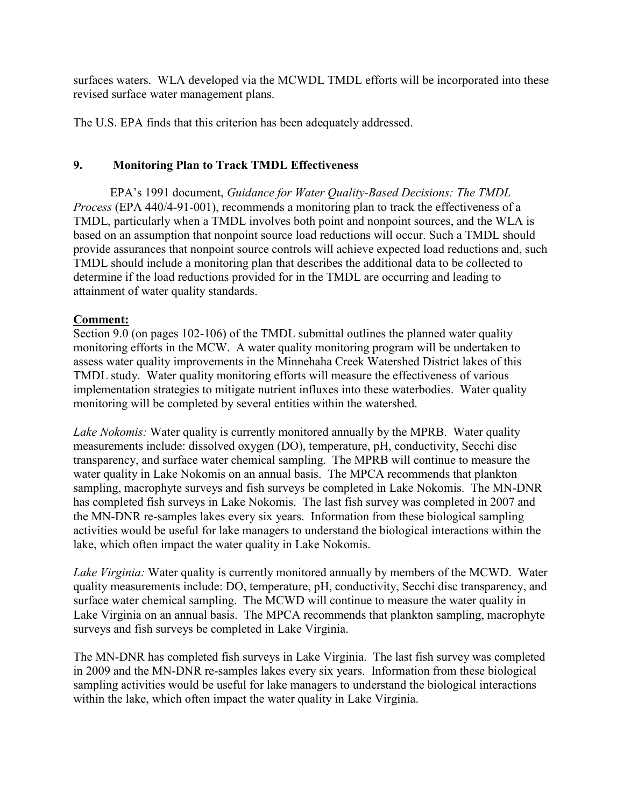surfaces waters. WLA developed via the MCWDL TMDL efforts will be incorporated into these revised surface water management plans.

The U.S. EPA finds that this criterion has been adequately addressed.

## **9. Monitoring Plan to Track TMDL Effectiveness**

 EPA's 1991 document, *Guidance for Water Quality-Based Decisions: The TMDL Process* (EPA 440/4-91-001), recommends a monitoring plan to track the effectiveness of a TMDL, particularly when a TMDL involves both point and nonpoint sources, and the WLA is based on an assumption that nonpoint source load reductions will occur. Such a TMDL should provide assurances that nonpoint source controls will achieve expected load reductions and, such TMDL should include a monitoring plan that describes the additional data to be collected to determine if the load reductions provided for in the TMDL are occurring and leading to attainment of water quality standards.

## **Comment:**

Section 9.0 (on pages 102-106) of the TMDL submittal outlines the planned water quality monitoring efforts in the MCW. A water quality monitoring program will be undertaken to assess water quality improvements in the Minnehaha Creek Watershed District lakes of this TMDL study. Water quality monitoring efforts will measure the effectiveness of various implementation strategies to mitigate nutrient influxes into these waterbodies. Water quality monitoring will be completed by several entities within the watershed.

*Lake Nokomis:* Water quality is currently monitored annually by the MPRB. Water quality measurements include: dissolved oxygen (DO), temperature, pH, conductivity, Secchi disc transparency, and surface water chemical sampling. The MPRB will continue to measure the water quality in Lake Nokomis on an annual basis. The MPCA recommends that plankton sampling, macrophyte surveys and fish surveys be completed in Lake Nokomis. The MN-DNR has completed fish surveys in Lake Nokomis. The last fish survey was completed in 2007 and the MN-DNR re-samples lakes every six years. Information from these biological sampling activities would be useful for lake managers to understand the biological interactions within the lake, which often impact the water quality in Lake Nokomis.

*Lake Virginia:* Water quality is currently monitored annually by members of the MCWD. Water quality measurements include: DO, temperature, pH, conductivity, Secchi disc transparency, and surface water chemical sampling. The MCWD will continue to measure the water quality in Lake Virginia on an annual basis. The MPCA recommends that plankton sampling, macrophyte surveys and fish surveys be completed in Lake Virginia.

The MN-DNR has completed fish surveys in Lake Virginia. The last fish survey was completed in 2009 and the MN-DNR re-samples lakes every six years. Information from these biological sampling activities would be useful for lake managers to understand the biological interactions within the lake, which often impact the water quality in Lake Virginia.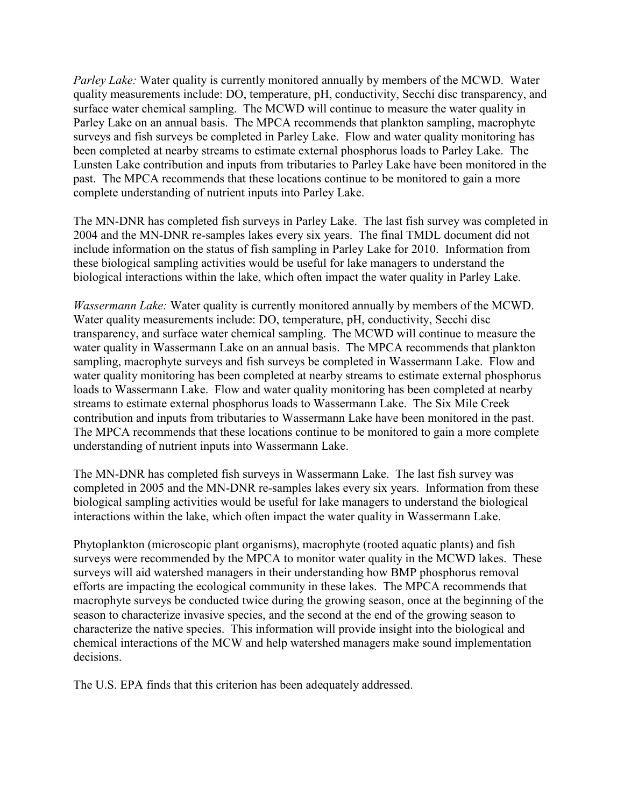*Parley Lake:* Water quality is currently monitored annually by members of the MCWD. Water quality measurements include: DO, temperature, pH, conductivity, Secchi disc transparency, and surface water chemical sampling. The MCWD will continue to measure the water quality in Parley Lake on an annual basis. The MPCA recommends that plankton sampling, macrophyte surveys and fish surveys be completed in Parley Lake. Flow and water quality monitoring has been completed at nearby streams to estimate external phosphorus loads to Parley Lake. The Lunsten Lake contribution and inputs from tributaries to Parley Lake have been monitored in the past. The MPCA recommends that these locations continue to be monitored to gain a more complete understanding of nutrient inputs into Parley Lake.

The MN-DNR has completed fish surveys in Parley Lake. The last fish survey was completed in 2004 and the MN-DNR re-samples lakes every six years. The final TMDL document did not include information on the status of fish sampling in Parley Lake for 2010. Information from these biological sampling activities would be useful for lake managers to understand the biological interactions within the lake, which often impact the water quality in Parley Lake.

*Wassermann Lake:* Water quality is currently monitored annually by members of the MCWD. Water quality measurements include: DO, temperature, pH, conductivity, Secchi disc transparency, and surface water chemical sampling. The MCWD will continue to measure the water quality in Wassermann Lake on an annual basis. The MPCA recommends that plankton sampling, macrophyte surveys and fish surveys be completed in Wassermann Lake. Flow and water quality monitoring has been completed at nearby streams to estimate external phosphorus loads to Wassermann Lake. Flow and water quality monitoring has been completed at nearby streams to estimate external phosphorus loads to Wassermann Lake. The Six Mile Creek contribution and inputs from tributaries to Wassermann Lake have been monitored in the past. The MPCA recommends that these locations continue to be monitored to gain a more complete understanding of nutrient inputs into Wassermann Lake.

The MN-DNR has completed fish surveys in Wassermann Lake. The last fish survey was completed in 2005 and the MN-DNR re-samples lakes every six years. Information from these biological sampling activities would be useful for lake managers to understand the biological interactions within the lake, which often impact the water quality in Wassermann Lake.

Phytoplankton (microscopic plant organisms), macrophyte (rooted aquatic plants) and fish surveys were recommended by the MPCA to monitor water quality in the MCWD lakes. These surveys will aid watershed managers in their understanding how BMP phosphorus removal efforts are impacting the ecological community in these lakes. The MPCA recommends that macrophyte surveys be conducted twice during the growing season, once at the beginning of the season to characterize invasive species, and the second at the end of the growing season to characterize the native species. This information will provide insight into the biological and chemical interactions of the MCW and help watershed managers make sound implementation decisions.

The U.S. EPA finds that this criterion has been adequately addressed.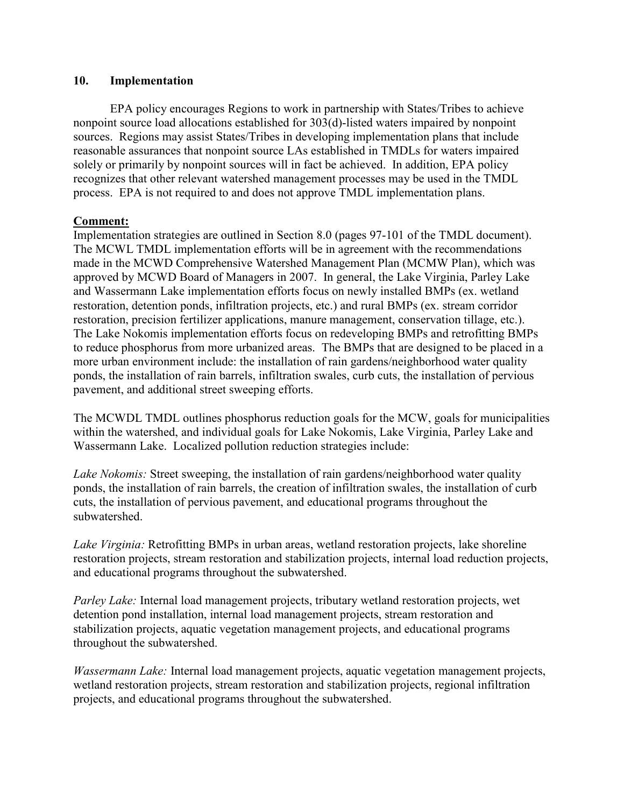#### **10. Implementation**

 EPA policy encourages Regions to work in partnership with States/Tribes to achieve nonpoint source load allocations established for 303(d)-listed waters impaired by nonpoint sources. Regions may assist States/Tribes in developing implementation plans that include reasonable assurances that nonpoint source LAs established in TMDLs for waters impaired solely or primarily by nonpoint sources will in fact be achieved. In addition, EPA policy recognizes that other relevant watershed management processes may be used in the TMDL process. EPA is not required to and does not approve TMDL implementation plans.

#### **Comment:**

Implementation strategies are outlined in Section 8.0 (pages 97-101 of the TMDL document). The MCWL TMDL implementation efforts will be in agreement with the recommendations made in the MCWD Comprehensive Watershed Management Plan (MCMW Plan), which was approved by MCWD Board of Managers in 2007. In general, the Lake Virginia, Parley Lake and Wassermann Lake implementation efforts focus on newly installed BMPs (ex. wetland restoration, detention ponds, infiltration projects, etc.) and rural BMPs (ex. stream corridor restoration, precision fertilizer applications, manure management, conservation tillage, etc.). The Lake Nokomis implementation efforts focus on redeveloping BMPs and retrofitting BMPs to reduce phosphorus from more urbanized areas. The BMPs that are designed to be placed in a more urban environment include: the installation of rain gardens/neighborhood water quality ponds, the installation of rain barrels, infiltration swales, curb cuts, the installation of pervious pavement, and additional street sweeping efforts.

The MCWDL TMDL outlines phosphorus reduction goals for the MCW, goals for municipalities within the watershed, and individual goals for Lake Nokomis, Lake Virginia, Parley Lake and Wassermann Lake. Localized pollution reduction strategies include:

*Lake Nokomis:* Street sweeping, the installation of rain gardens/neighborhood water quality ponds, the installation of rain barrels, the creation of infiltration swales, the installation of curb cuts, the installation of pervious pavement, and educational programs throughout the subwatershed.

*Lake Virginia:* Retrofitting BMPs in urban areas, wetland restoration projects, lake shoreline restoration projects, stream restoration and stabilization projects, internal load reduction projects, and educational programs throughout the subwatershed.

*Parley Lake:* Internal load management projects, tributary wetland restoration projects, wet detention pond installation, internal load management projects, stream restoration and stabilization projects, aquatic vegetation management projects, and educational programs throughout the subwatershed.

*Wassermann Lake:* Internal load management projects, aquatic vegetation management projects, wetland restoration projects, stream restoration and stabilization projects, regional infiltration projects, and educational programs throughout the subwatershed.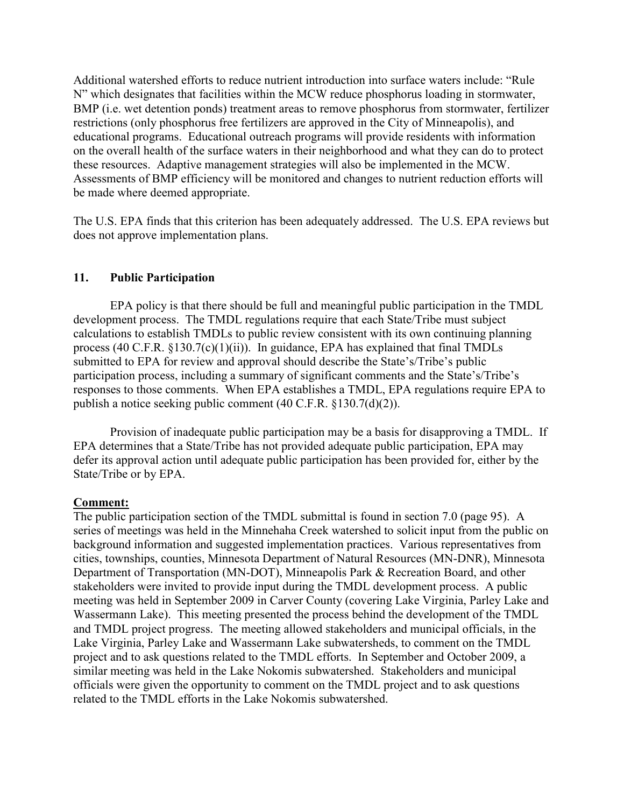Additional watershed efforts to reduce nutrient introduction into surface waters include: "Rule N" which designates that facilities within the MCW reduce phosphorus loading in stormwater, BMP (i.e. wet detention ponds) treatment areas to remove phosphorus from stormwater, fertilizer restrictions (only phosphorus free fertilizers are approved in the City of Minneapolis), and educational programs. Educational outreach programs will provide residents with information on the overall health of the surface waters in their neighborhood and what they can do to protect these resources. Adaptive management strategies will also be implemented in the MCW. Assessments of BMP efficiency will be monitored and changes to nutrient reduction efforts will be made where deemed appropriate.

The U.S. EPA finds that this criterion has been adequately addressed. The U.S. EPA reviews but does not approve implementation plans.

## **11. Public Participation**

 EPA policy is that there should be full and meaningful public participation in the TMDL development process. The TMDL regulations require that each State/Tribe must subject calculations to establish TMDLs to public review consistent with its own continuing planning process (40 C.F.R.  $\S 130.7(c)(1)(ii)$ ). In guidance, EPA has explained that final TMDLs submitted to EPA for review and approval should describe the State's/Tribe's public participation process, including a summary of significant comments and the State's/Tribe's responses to those comments. When EPA establishes a TMDL, EPA regulations require EPA to publish a notice seeking public comment (40 C.F.R. §130.7(d)(2)).

 Provision of inadequate public participation may be a basis for disapproving a TMDL. If EPA determines that a State/Tribe has not provided adequate public participation, EPA may defer its approval action until adequate public participation has been provided for, either by the State/Tribe or by EPA.

## **Comment:**

The public participation section of the TMDL submittal is found in section 7.0 (page 95). A series of meetings was held in the Minnehaha Creek watershed to solicit input from the public on background information and suggested implementation practices. Various representatives from cities, townships, counties, Minnesota Department of Natural Resources (MN-DNR), Minnesota Department of Transportation (MN-DOT), Minneapolis Park & Recreation Board, and other stakeholders were invited to provide input during the TMDL development process. A public meeting was held in September 2009 in Carver County (covering Lake Virginia, Parley Lake and Wassermann Lake). This meeting presented the process behind the development of the TMDL and TMDL project progress. The meeting allowed stakeholders and municipal officials, in the Lake Virginia, Parley Lake and Wassermann Lake subwatersheds, to comment on the TMDL project and to ask questions related to the TMDL efforts. In September and October 2009, a similar meeting was held in the Lake Nokomis subwatershed. Stakeholders and municipal officials were given the opportunity to comment on the TMDL project and to ask questions related to the TMDL efforts in the Lake Nokomis subwatershed.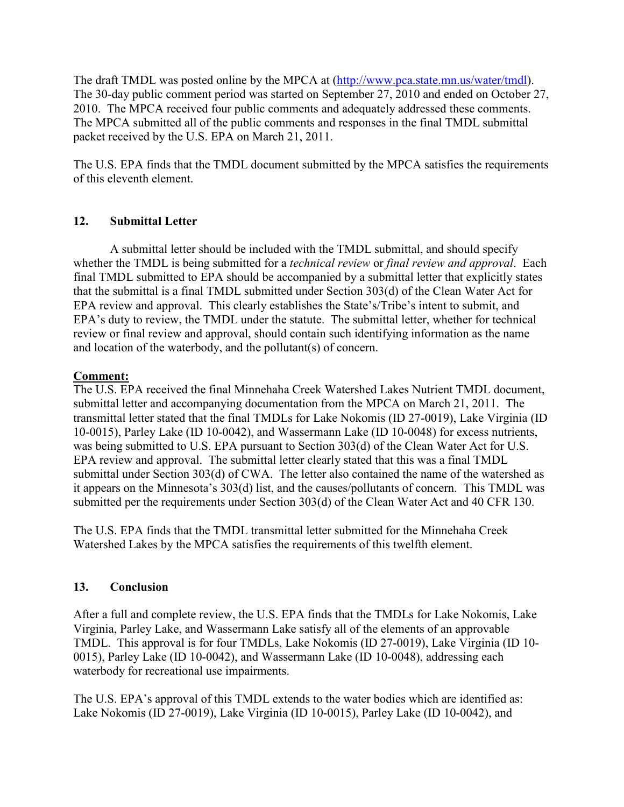The draft TMDL was posted online by the MPCA at (http://www.pca.state.mn.us/water/tmdl). The 30-day public comment period was started on September 27, 2010 and ended on October 27, 2010. The MPCA received four public comments and adequately addressed these comments. The MPCA submitted all of the public comments and responses in the final TMDL submittal packet received by the U.S. EPA on March 21, 2011.

The U.S. EPA finds that the TMDL document submitted by the MPCA satisfies the requirements of this eleventh element.

## **12. Submittal Letter**

 A submittal letter should be included with the TMDL submittal, and should specify whether the TMDL is being submitted for a *technical review* or *final review and approval*. Each final TMDL submitted to EPA should be accompanied by a submittal letter that explicitly states that the submittal is a final TMDL submitted under Section 303(d) of the Clean Water Act for EPA review and approval. This clearly establishes the State's/Tribe's intent to submit, and EPA's duty to review, the TMDL under the statute. The submittal letter, whether for technical review or final review and approval, should contain such identifying information as the name and location of the waterbody, and the pollutant(s) of concern.

## **Comment:**

The U.S. EPA received the final Minnehaha Creek Watershed Lakes Nutrient TMDL document, submittal letter and accompanying documentation from the MPCA on March 21, 2011. The transmittal letter stated that the final TMDLs for Lake Nokomis (ID 27-0019), Lake Virginia (ID 10-0015), Parley Lake (ID 10-0042), and Wassermann Lake (ID 10-0048) for excess nutrients, was being submitted to U.S. EPA pursuant to Section 303(d) of the Clean Water Act for U.S. EPA review and approval. The submittal letter clearly stated that this was a final TMDL submittal under Section 303(d) of CWA. The letter also contained the name of the watershed as it appears on the Minnesota's 303(d) list, and the causes/pollutants of concern. This TMDL was submitted per the requirements under Section 303(d) of the Clean Water Act and 40 CFR 130.

The U.S. EPA finds that the TMDL transmittal letter submitted for the Minnehaha Creek Watershed Lakes by the MPCA satisfies the requirements of this twelfth element.

## **13. Conclusion**

After a full and complete review, the U.S. EPA finds that the TMDLs for Lake Nokomis, Lake Virginia, Parley Lake, and Wassermann Lake satisfy all of the elements of an approvable TMDL. This approval is for four TMDLs, Lake Nokomis (ID 27-0019), Lake Virginia (ID 10- 0015), Parley Lake (ID 10-0042), and Wassermann Lake (ID 10-0048), addressing each waterbody for recreational use impairments.

The U.S. EPA's approval of this TMDL extends to the water bodies which are identified as: Lake Nokomis (ID 27-0019), Lake Virginia (ID 10-0015), Parley Lake (ID 10-0042), and